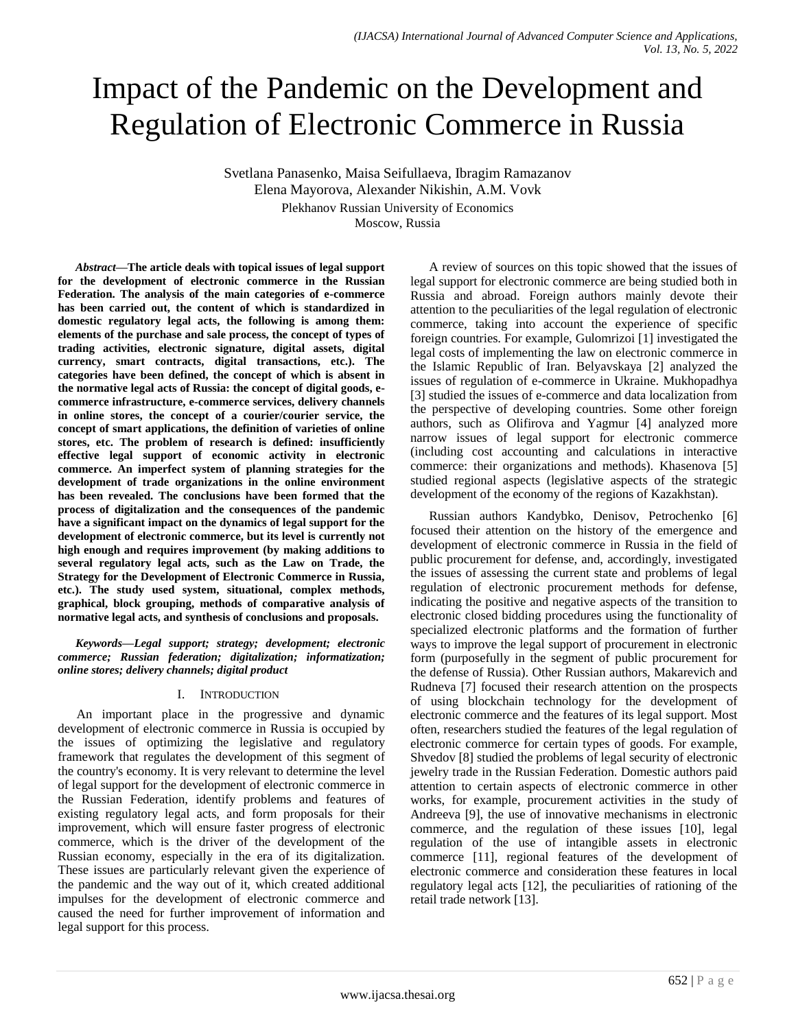# Impact of the Pandemic on the Development and Regulation of Electronic Commerce in Russia

Svetlana Panasenko, Maisa Seifullaeva, Ibragim Ramazanov Elena Mayorova, Alexander Nikishin, A.M. Vovk Plekhanov Russian University of Economics Moscow, Russia

*Abstract***—The article deals with topical issues of legal support for the development of electronic commerce in the Russian Federation. The analysis of the main categories of e-commerce has been carried out, the content of which is standardized in domestic regulatory legal acts, the following is among them: elements of the purchase and sale process, the concept of types of trading activities, electronic signature, digital assets, digital currency, smart contracts, digital transactions, etc.). The categories have been defined, the concept of which is absent in the normative legal acts of Russia: the concept of digital goods, ecommerce infrastructure, e-commerce services, delivery channels in online stores, the concept of a courier/courier service, the concept of smart applications, the definition of varieties of online stores, etc. The problem of research is defined: insufficiently effective legal support of economic activity in electronic commerce. An imperfect system of planning strategies for the development of trade organizations in the online environment has been revealed. The conclusions have been formed that the process of digitalization and the consequences of the pandemic have a significant impact on the dynamics of legal support for the development of electronic commerce, but its level is currently not high enough and requires improvement (by making additions to several regulatory legal acts, such as the Law on Trade, the Strategy for the Development of Electronic Commerce in Russia, etc.). The study used system, situational, complex methods, graphical, block grouping, methods of comparative analysis of normative legal acts, and synthesis of conclusions and proposals.**

*Keywords—Legal support; strategy; development; electronic commerce; Russian federation; digitalization; informatization; online stores; delivery channels; digital product*

# I. INTRODUCTION

An important place in the progressive and dynamic development of electronic commerce in Russia is occupied by the issues of optimizing the legislative and regulatory framework that regulates the development of this segment of the country's economy. It is very relevant to determine the level of legal support for the development of electronic commerce in the Russian Federation, identify problems and features of existing regulatory legal acts, and form proposals for their improvement, which will ensure faster progress of electronic commerce, which is the driver of the development of the Russian economy, especially in the era of its digitalization. These issues are particularly relevant given the experience of the pandemic and the way out of it, which created additional impulses for the development of electronic commerce and caused the need for further improvement of information and legal support for this process.

A review of sources on this topic showed that the issues of legal support for electronic commerce are being studied both in Russia and abroad. Foreign authors mainly devote their attention to the peculiarities of the legal regulation of electronic commerce, taking into account the experience of specific foreign countries. For example, Gulomrizoi [1] investigated the legal costs of implementing the law on electronic commerce in the Islamic Republic of Iran. Belyavskaya [2] analyzed the issues of regulation of e-commerce in Ukraine. Mukhopadhya [3] studied the issues of e-commerce and data localization from the perspective of developing countries. Some other foreign authors, such as Olifirova and Yagmur [4] analyzed more narrow issues of legal support for electronic commerce (including cost accounting and calculations in interactive commerce: their organizations and methods). Khasenova [5] studied regional aspects (legislative aspects of the strategic development of the economy of the regions of Kazakhstan).

Russian authors Kandybko, Denisov, Petrochenko [6] focused their attention on the history of the emergence and development of electronic commerce in Russia in the field of public procurement for defense, and, accordingly, investigated the issues of assessing the current state and problems of legal regulation of electronic procurement methods for defense, indicating the positive and negative aspects of the transition to electronic closed bidding procedures using the functionality of specialized electronic platforms and the formation of further ways to improve the legal support of procurement in electronic form (purposefully in the segment of public procurement for the defense of Russia). Other Russian authors, Makarevich and Rudneva [7] focused their research attention on the prospects of using blockchain technology for the development of electronic commerce and the features of its legal support. Most often, researchers studied the features of the legal regulation of electronic commerce for certain types of goods. For example, Shvedov [8] studied the problems of legal security of electronic jewelry trade in the Russian Federation. Domestic authors paid attention to certain aspects of electronic commerce in other works, for example, procurement activities in the study of Andreeva [9], the use of innovative mechanisms in electronic commerce, and the regulation of these issues [10], legal regulation of the use of intangible assets in electronic commerce [11], regional features of the development of electronic commerce and consideration these features in local regulatory legal acts [12], the peculiarities of rationing of the retail trade network [13].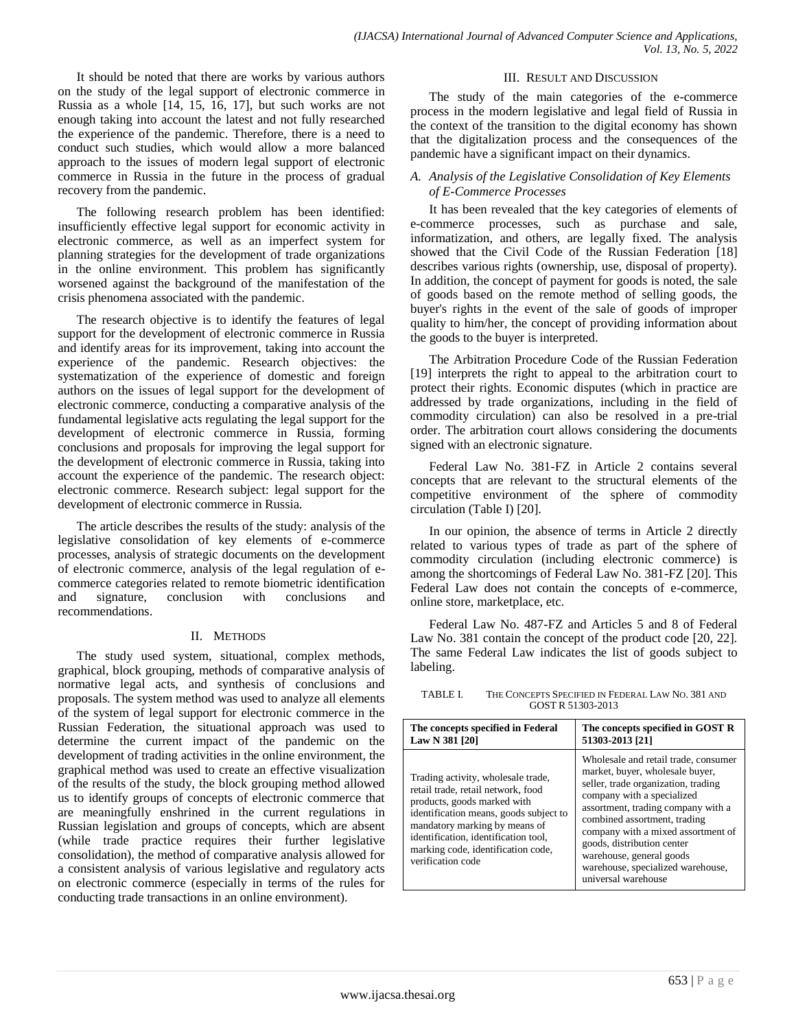It should be noted that there are works by various authors on the study of the legal support of electronic commerce in Russia as a whole [14, 15, 16, 17], but such works are not enough taking into account the latest and not fully researched the experience of the pandemic. Therefore, there is a need to conduct such studies, which would allow a more balanced approach to the issues of modern legal support of electronic commerce in Russia in the future in the process of gradual recovery from the pandemic.

The following research problem has been identified: insufficiently effective legal support for economic activity in electronic commerce, as well as an imperfect system for planning strategies for the development of trade organizations in the online environment. This problem has significantly worsened against the background of the manifestation of the crisis phenomena associated with the pandemic.

The research objective is to identify the features of legal support for the development of electronic commerce in Russia and identify areas for its improvement, taking into account the experience of the pandemic. Research objectives: the systematization of the experience of domestic and foreign authors on the issues of legal support for the development of electronic commerce, conducting a comparative analysis of the fundamental legislative acts regulating the legal support for the development of electronic commerce in Russia, forming conclusions and proposals for improving the legal support for the development of electronic commerce in Russia, taking into account the experience of the pandemic. The research object: electronic commerce. Research subject: legal support for the development of electronic commerce in Russia.

The article describes the results of the study: analysis of the legislative consolidation of key elements of e-commerce processes, analysis of strategic documents on the development of electronic commerce, analysis of the legal regulation of ecommerce categories related to remote biometric identification and signature, conclusion with conclusions and recommendations.

# II. METHODS

The study used system, situational, complex methods, graphical, block grouping, methods of comparative analysis of normative legal acts, and synthesis of conclusions and proposals. The system method was used to analyze all elements of the system of legal support for electronic commerce in the Russian Federation, the situational approach was used to determine the current impact of the pandemic on the development of trading activities in the online environment, the graphical method was used to create an effective visualization of the results of the study, the block grouping method allowed us to identify groups of concepts of electronic commerce that are meaningfully enshrined in the current regulations in Russian legislation and groups of concepts, which are absent (while trade practice requires their further legislative consolidation), the method of comparative analysis allowed for a consistent analysis of various legislative and regulatory acts on electronic commerce (especially in terms of the rules for conducting trade transactions in an online environment).

# III. RESULT AND DISCUSSION

The study of the main categories of the e-commerce process in the modern legislative and legal field of Russia in the context of the transition to the digital economy has shown that the digitalization process and the consequences of the pandemic have a significant impact on their dynamics.

# *A. Analysis of the Legislative Consolidation of Key Elements of E-Commerce Processes*

It has been revealed that the key categories of elements of e-commerce processes, such as purchase and sale, informatization, and others, are legally fixed. The analysis showed that the Civil Code of the Russian Federation [18] describes various rights (ownership, use, disposal of property). In addition, the concept of payment for goods is noted, the sale of goods based on the remote method of selling goods, the buyer's rights in the event of the sale of goods of improper quality to him/her, the concept of providing information about the goods to the buyer is interpreted.

The Arbitration Procedure Code of the Russian Federation [19] interprets the right to appeal to the arbitration court to protect their rights. Economic disputes (which in practice are addressed by trade organizations, including in the field of commodity circulation) can also be resolved in a pre-trial order. The arbitration court allows considering the documents signed with an electronic signature.

Federal Law No. 381-FZ in Article 2 contains several concepts that are relevant to the structural elements of the competitive environment of the sphere of commodity circulation (Table I) [20].

In our opinion, the absence of terms in Article 2 directly related to various types of trade as part of the sphere of commodity circulation (including electronic commerce) is among the shortcomings of Federal Law No. 381-FZ [20]. This Federal Law does not contain the concepts of e-commerce, online store, marketplace, etc.

Federal Law No. 487-FZ and Articles 5 and 8 of Federal Law No. 381 contain the concept of the product code [20, 22]. The same Federal Law indicates the list of goods subject to labeling.

TABLE I. THE CONCEPTS SPECIFIED IN FEDERAL LAW NO. 381 AND GOST R 51303-2013

| The concepts specified in Federal                                                                                                                                                                                                                                                     | The concepts specified in GOST R                                                                                                                                                                                                                                                                                                                                               |
|---------------------------------------------------------------------------------------------------------------------------------------------------------------------------------------------------------------------------------------------------------------------------------------|--------------------------------------------------------------------------------------------------------------------------------------------------------------------------------------------------------------------------------------------------------------------------------------------------------------------------------------------------------------------------------|
| Law N 381 [20]                                                                                                                                                                                                                                                                        | 51303-2013 [21]                                                                                                                                                                                                                                                                                                                                                                |
| Trading activity, wholesale trade,<br>retail trade, retail network, food<br>products, goods marked with<br>identification means, goods subject to<br>mandatory marking by means of<br>identification, identification tool,<br>marking code, identification code,<br>verification code | Wholesale and retail trade, consumer<br>market, buyer, wholesale buyer,<br>seller, trade organization, trading<br>company with a specialized<br>assortment, trading company with a<br>combined assortment, trading<br>company with a mixed assortment of<br>goods, distribution center<br>warehouse, general goods<br>warehouse, specialized warehouse,<br>universal warehouse |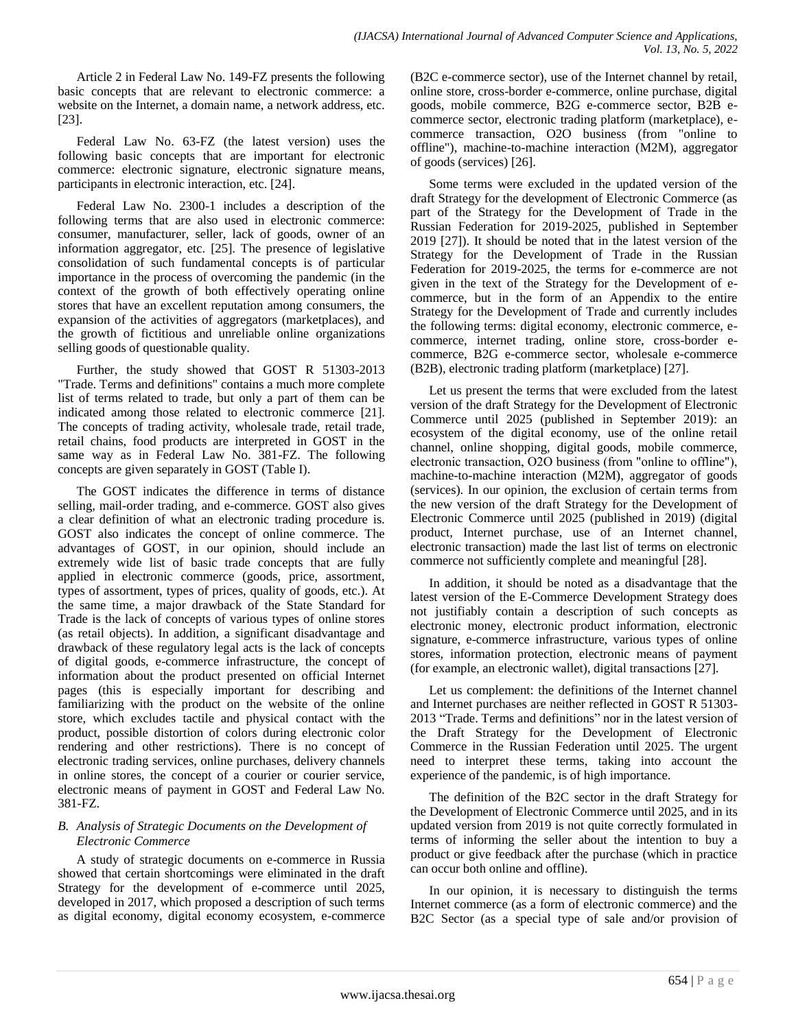Article 2 in Federal Law No. 149-FZ presents the following basic concepts that are relevant to electronic commerce: a website on the Internet, a domain name, a network address, etc. [23].

Federal Law No. 63-FZ (the latest version) uses the following basic concepts that are important for electronic commerce: electronic signature, electronic signature means, participants in electronic interaction, etc. [24].

Federal Law No. 2300-1 includes a description of the following terms that are also used in electronic commerce: consumer, manufacturer, seller, lack of goods, owner of an information aggregator, etc. [25]. The presence of legislative consolidation of such fundamental concepts is of particular importance in the process of overcoming the pandemic (in the context of the growth of both effectively operating online stores that have an excellent reputation among consumers, the expansion of the activities of aggregators (marketplaces), and the growth of fictitious and unreliable online organizations selling goods of questionable quality.

Further, the study showed that GOST R 51303-2013 "Trade. Terms and definitions" contains a much more complete list of terms related to trade, but only a part of them can be indicated among those related to electronic commerce [21]. The concepts of trading activity, wholesale trade, retail trade, retail chains, food products are interpreted in GOST in the same way as in Federal Law No. 381-FZ. The following concepts are given separately in GOST (Table I).

The GOST indicates the difference in terms of distance selling, mail-order trading, and e-commerce. GOST also gives a clear definition of what an electronic trading procedure is. GOST also indicates the concept of online commerce. The advantages of GOST, in our opinion, should include an extremely wide list of basic trade concepts that are fully applied in electronic commerce (goods, price, assortment, types of assortment, types of prices, quality of goods, etc.). At the same time, a major drawback of the State Standard for Trade is the lack of concepts of various types of online stores (as retail objects). In addition, a significant disadvantage and drawback of these regulatory legal acts is the lack of concepts of digital goods, e-commerce infrastructure, the concept of information about the product presented on official Internet pages (this is especially important for describing and familiarizing with the product on the website of the online store, which excludes tactile and physical contact with the product, possible distortion of colors during electronic color rendering and other restrictions). There is no concept of electronic trading services, online purchases, delivery channels in online stores, the concept of a courier or courier service, electronic means of payment in GOST and Federal Law No. 381-FZ.

# *B. Analysis of Strategic Documents on the Development of Electronic Commerce*

A study of strategic documents on e-commerce in Russia showed that certain shortcomings were eliminated in the draft Strategy for the development of e-commerce until 2025, developed in 2017, which proposed a description of such terms as digital economy, digital economy ecosystem, e-commerce

(B2C e-commerce sector), use of the Internet channel by retail, online store, cross-border e-commerce, online purchase, digital goods, mobile commerce, B2G e-commerce sector, B2B ecommerce sector, electronic trading platform (marketplace), ecommerce transaction, O2O business (from "online to offline"), machine-to-machine interaction (M2M), aggregator of goods (services) [26].

Some terms were excluded in the updated version of the draft Strategy for the development of Electronic Commerce (as part of the Strategy for the Development of Trade in the Russian Federation for 2019-2025, published in September 2019 [27]). It should be noted that in the latest version of the Strategy for the Development of Trade in the Russian Federation for 2019-2025, the terms for e-commerce are not given in the text of the Strategy for the Development of ecommerce, but in the form of an Appendix to the entire Strategy for the Development of Trade and currently includes the following terms: digital economy, electronic commerce, ecommerce, internet trading, online store, cross-border ecommerce, B2G e-commerce sector, wholesale e-commerce (B2B), electronic trading platform (marketplace) [27].

Let us present the terms that were excluded from the latest version of the draft Strategy for the Development of Electronic Commerce until 2025 (published in September 2019): an ecosystem of the digital economy, use of the online retail channel, online shopping, digital goods, mobile commerce, electronic transaction, О2О business (from "online to offline"), machine-to-machine interaction (M2M), aggregator of goods (services). In our opinion, the exclusion of certain terms from the new version of the draft Strategy for the Development of Electronic Commerce until 2025 (published in 2019) (digital product, Internet purchase, use of an Internet channel, electronic transaction) made the last list of terms on electronic commerce not sufficiently complete and meaningful [28].

In addition, it should be noted as a disadvantage that the latest version of the E-Commerce Development Strategy does not justifiably contain a description of such concepts as electronic money, electronic product information, electronic signature, e-commerce infrastructure, various types of online stores, information protection, electronic means of payment (for example, an electronic wallet), digital transactions [27].

Let us complement: the definitions of the Internet channel and Internet purchases are neither reflected in GOST R 51303- 2013 "Trade. Terms and definitions" nor in the latest version of the Draft Strategy for the Development of Electronic Commerce in the Russian Federation until 2025. The urgent need to interpret these terms, taking into account the experience of the pandemic, is of high importance.

The definition of the B2C sector in the draft Strategy for the Development of Electronic Commerce until 2025, and in its updated version from 2019 is not quite correctly formulated in terms of informing the seller about the intention to buy a product or give feedback after the purchase (which in practice can occur both online and offline).

In our opinion, it is necessary to distinguish the terms Internet commerce (as a form of electronic commerce) and the B2C Sector (as a special type of sale and/or provision of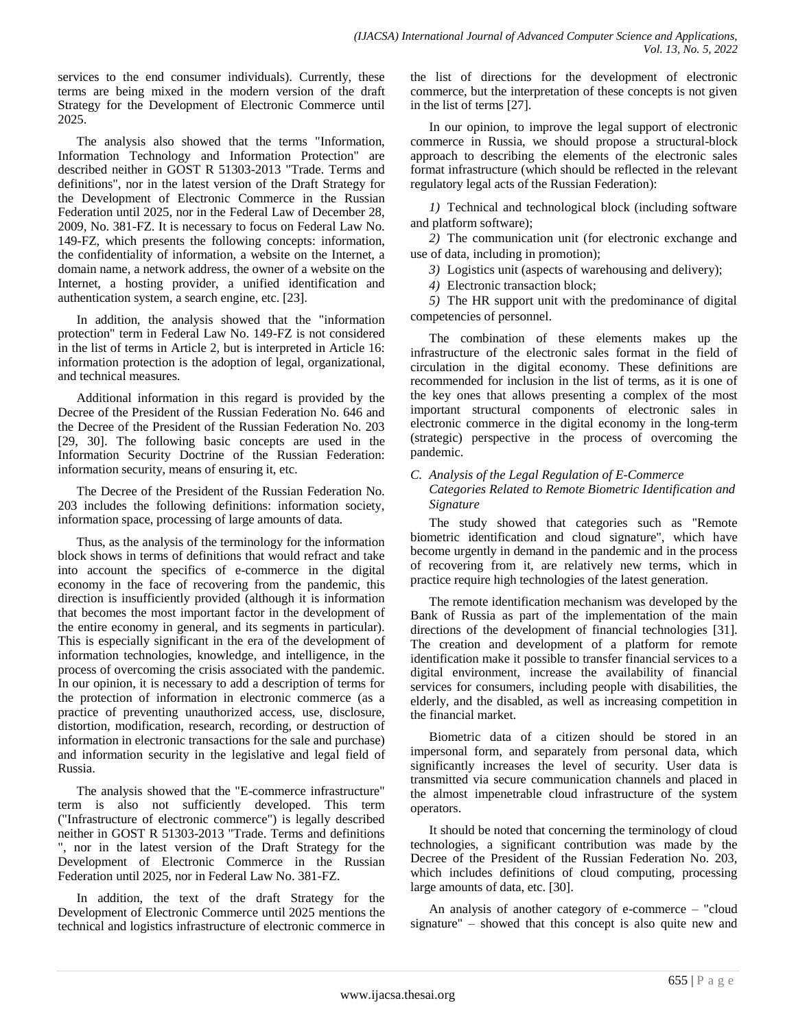services to the end consumer individuals). Currently, these terms are being mixed in the modern version of the draft Strategy for the Development of Electronic Commerce until 2025.

The analysis also showed that the terms "Information, Information Technology and Information Protection" are described neither in GOST R 51303-2013 "Trade. Terms and definitions", nor in the latest version of the Draft Strategy for the Development of Electronic Commerce in the Russian Federation until 2025, nor in the Federal Law of December 28, 2009, No. 381-FZ. It is necessary to focus on Federal Law No. 149-FZ, which presents the following concepts: information, the confidentiality of information, a website on the Internet, a domain name, a network address, the owner of a website on the Internet, a hosting provider, a unified identification and authentication system, a search engine, etc. [23].

In addition, the analysis showed that the "information protection" term in Federal Law No. 149-FZ is not considered in the list of terms in Article 2, but is interpreted in Article 16: information protection is the adoption of legal, organizational, and technical measures.

Additional information in this regard is provided by the Decree of the President of the Russian Federation No. 646 and the Decree of the President of the Russian Federation No. 203 [29, 30]. The following basic concepts are used in the Information Security Doctrine of the Russian Federation: information security, means of ensuring it, etc.

The Decree of the President of the Russian Federation No. 203 includes the following definitions: information society, information space, processing of large amounts of data.

Thus, as the analysis of the terminology for the information block shows in terms of definitions that would refract and take into account the specifics of e-commerce in the digital economy in the face of recovering from the pandemic, this direction is insufficiently provided (although it is information that becomes the most important factor in the development of the entire economy in general, and its segments in particular). This is especially significant in the era of the development of information technologies, knowledge, and intelligence, in the process of overcoming the crisis associated with the pandemic. In our opinion, it is necessary to add a description of terms for the protection of information in electronic commerce (as a practice of preventing unauthorized access, use, disclosure, distortion, modification, research, recording, or destruction of information in electronic transactions for the sale and purchase) and information security in the legislative and legal field of Russia.

The analysis showed that the "E-commerce infrastructure" term is also not sufficiently developed. This term ("Infrastructure of electronic commerce") is legally described neither in GOST R 51303-2013 "Trade. Terms and definitions ", nor in the latest version of the Draft Strategy for the Development of Electronic Commerce in the Russian Federation until 2025, nor in Federal Law No. 381-FZ.

In addition, the text of the draft Strategy for the Development of Electronic Commerce until 2025 mentions the technical and logistics infrastructure of electronic commerce in the list of directions for the development of electronic commerce, but the interpretation of these concepts is not given in the list of terms [27].

In our opinion, to improve the legal support of electronic commerce in Russia, we should propose a structural-block approach to describing the elements of the electronic sales format infrastructure (which should be reflected in the relevant regulatory legal acts of the Russian Federation):

*1)* Technical and technological block (including software and platform software);

*2)* The communication unit (for electronic exchange and use of data, including in promotion);

*3)* Logistics unit (aspects of warehousing and delivery);

*4)* Electronic transaction block;

*5)* The HR support unit with the predominance of digital competencies of personnel.

The combination of these elements makes up the infrastructure of the electronic sales format in the field of circulation in the digital economy. These definitions are recommended for inclusion in the list of terms, as it is one of the key ones that allows presenting a complex of the most important structural components of electronic sales in electronic commerce in the digital economy in the long-term (strategic) perspective in the process of overcoming the pandemic.

# *C. Analysis of the Legal Regulation of E-Commerce Categories Related to Remote Biometric Identification and Signature*

The study showed that categories such as "Remote biometric identification and cloud signature", which have become urgently in demand in the pandemic and in the process of recovering from it, are relatively new terms, which in practice require high technologies of the latest generation.

The remote identification mechanism was developed by the Bank of Russia as part of the implementation of the main directions of the development of financial technologies [31]. The creation and development of a platform for remote identification make it possible to transfer financial services to a digital environment, increase the availability of financial services for consumers, including people with disabilities, the elderly, and the disabled, as well as increasing competition in the financial market.

Biometric data of a citizen should be stored in an impersonal form, and separately from personal data, which significantly increases the level of security. User data is transmitted via secure communication channels and placed in the almost impenetrable cloud infrastructure of the system operators.

It should be noted that concerning the terminology of cloud technologies, a significant contribution was made by the Decree of the President of the Russian Federation No. 203, which includes definitions of cloud computing, processing large amounts of data, etc. [30].

An analysis of another category of e-commerce – "cloud signature" – showed that this concept is also quite new and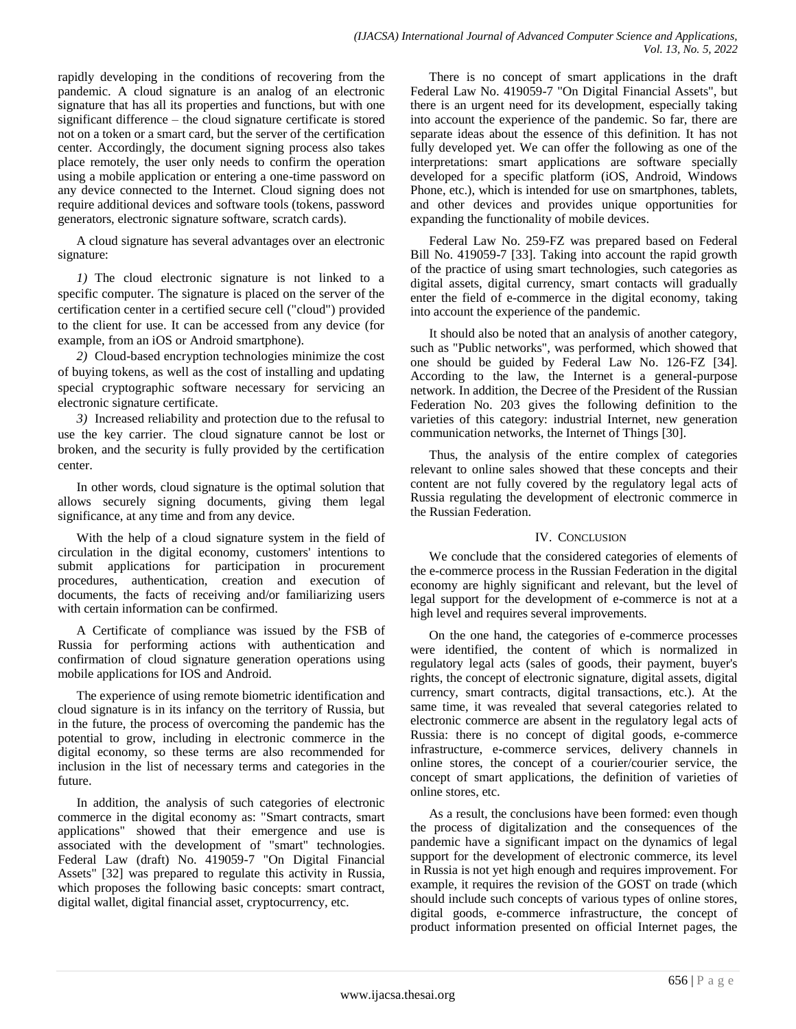rapidly developing in the conditions of recovering from the pandemic. A cloud signature is an analog of an electronic signature that has all its properties and functions, but with one significant difference – the cloud signature certificate is stored not on a token or a smart card, but the server of the certification center. Accordingly, the document signing process also takes place remotely, the user only needs to confirm the operation using a mobile application or entering a one-time password on any device connected to the Internet. Cloud signing does not require additional devices and software tools (tokens, password generators, electronic signature software, scratch cards).

A cloud signature has several advantages over an electronic signature:

*1)* The cloud electronic signature is not linked to a specific computer. The signature is placed on the server of the certification center in a certified secure cell ("cloud") provided to the client for use. It can be accessed from any device (for example, from an iOS or Android smartphone).

*2)* Cloud-based encryption technologies minimize the cost of buying tokens, as well as the cost of installing and updating special cryptographic software necessary for servicing an electronic signature certificate.

*3)* Increased reliability and protection due to the refusal to use the key carrier. The cloud signature cannot be lost or broken, and the security is fully provided by the certification center.

In other words, cloud signature is the optimal solution that allows securely signing documents, giving them legal significance, at any time and from any device.

With the help of a cloud signature system in the field of circulation in the digital economy, customers' intentions to submit applications for participation in procurement procedures, authentication, creation and execution of documents, the facts of receiving and/or familiarizing users with certain information can be confirmed.

A Certificate of compliance was issued by the FSB of Russia for performing actions with authentication and confirmation of cloud signature generation operations using mobile applications for IOS and Android.

The experience of using remote biometric identification and cloud signature is in its infancy on the territory of Russia, but in the future, the process of overcoming the pandemic has the potential to grow, including in electronic commerce in the digital economy, so these terms are also recommended for inclusion in the list of necessary terms and categories in the future.

In addition, the analysis of such categories of electronic commerce in the digital economy as: "Smart contracts, smart applications" showed that their emergence and use is associated with the development of "smart" technologies. Federal Law (draft) No. 419059-7 "On Digital Financial Assets" [32] was prepared to regulate this activity in Russia, which proposes the following basic concepts: smart contract, digital wallet, digital financial asset, cryptocurrency, etc.

There is no concept of smart applications in the draft Federal Law No. 419059-7 "On Digital Financial Assets", but there is an urgent need for its development, especially taking into account the experience of the pandemic. So far, there are separate ideas about the essence of this definition. It has not fully developed yet. We can offer the following as one of the interpretations: smart applications are software specially developed for a specific platform (iOS, Android, Windows Phone, etc.), which is intended for use on smartphones, tablets, and other devices and provides unique opportunities for expanding the functionality of mobile devices.

Federal Law No. 259-FZ was prepared based on Federal Bill No. 419059-7 [33]. Taking into account the rapid growth of the practice of using smart technologies, such categories as digital assets, digital currency, smart contacts will gradually enter the field of e-commerce in the digital economy, taking into account the experience of the pandemic.

It should also be noted that an analysis of another category, such as "Public networks", was performed, which showed that one should be guided by Federal Law No. 126-FZ [34]. According to the law, the Internet is a general-purpose network. In addition, the Decree of the President of the Russian Federation No. 203 gives the following definition to the varieties of this category: industrial Internet, new generation communication networks, the Internet of Things [30].

Thus, the analysis of the entire complex of categories relevant to online sales showed that these concepts and their content are not fully covered by the regulatory legal acts of Russia regulating the development of electronic commerce in the Russian Federation.

# IV. CONCLUSION

We conclude that the considered categories of elements of the e-commerce process in the Russian Federation in the digital economy are highly significant and relevant, but the level of legal support for the development of e-commerce is not at a high level and requires several improvements.

On the one hand, the categories of e-commerce processes were identified, the content of which is normalized in regulatory legal acts (sales of goods, their payment, buyer's rights, the concept of electronic signature, digital assets, digital currency, smart contracts, digital transactions, etc.). At the same time, it was revealed that several categories related to electronic commerce are absent in the regulatory legal acts of Russia: there is no concept of digital goods, e-commerce infrastructure, e-commerce services, delivery channels in online stores, the concept of a courier/courier service, the concept of smart applications, the definition of varieties of online stores, etc.

As a result, the conclusions have been formed: even though the process of digitalization and the consequences of the pandemic have a significant impact on the dynamics of legal support for the development of electronic commerce, its level in Russia is not yet high enough and requires improvement. For example, it requires the revision of the GOST on trade (which should include such concepts of various types of online stores, digital goods, e-commerce infrastructure, the concept of product information presented on official Internet pages, the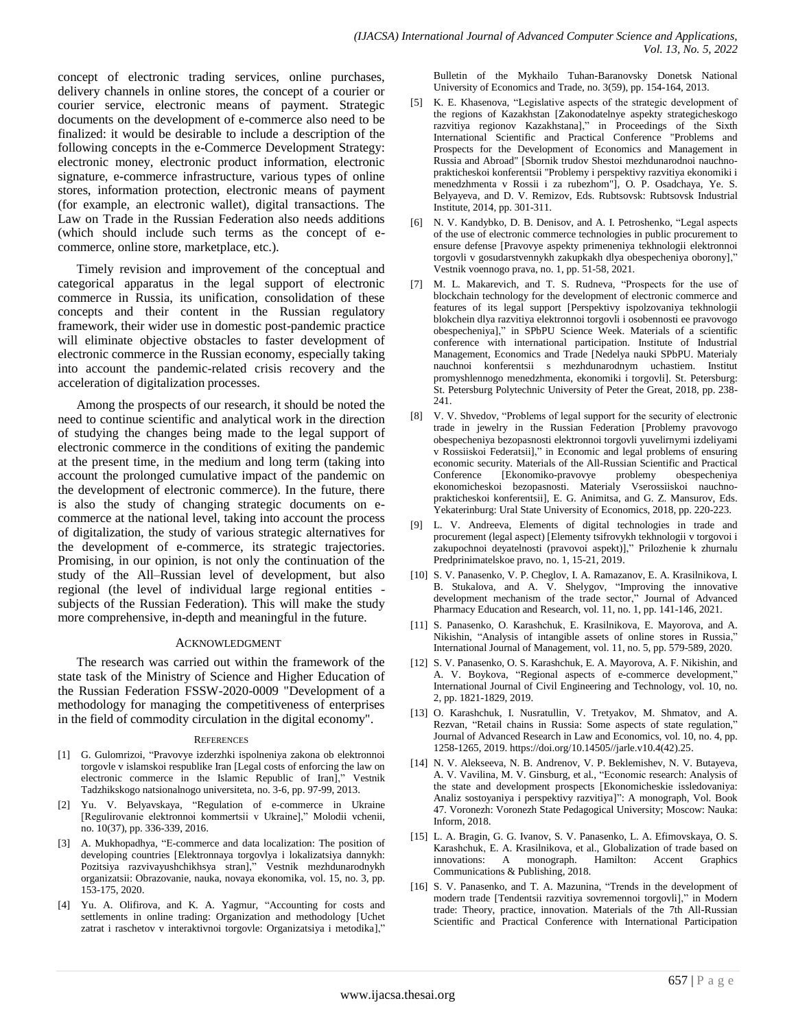concept of electronic trading services, online purchases, delivery channels in online stores, the concept of a courier or courier service, electronic means of payment. Strategic documents on the development of e-commerce also need to be finalized: it would be desirable to include a description of the following concepts in the e-Commerce Development Strategy: electronic money, electronic product information, electronic signature, e-commerce infrastructure, various types of online stores, information protection, electronic means of payment (for example, an electronic wallet), digital transactions. The Law on Trade in the Russian Federation also needs additions (which should include such terms as the concept of ecommerce, online store, marketplace, etc.).

Timely revision and improvement of the conceptual and categorical apparatus in the legal support of electronic commerce in Russia, its unification, consolidation of these concepts and their content in the Russian regulatory framework, their wider use in domestic post-pandemic practice will eliminate objective obstacles to faster development of electronic commerce in the Russian economy, especially taking into account the pandemic-related crisis recovery and the acceleration of digitalization processes.

Among the prospects of our research, it should be noted the need to continue scientific and analytical work in the direction of studying the changes being made to the legal support of electronic commerce in the conditions of exiting the pandemic at the present time, in the medium and long term (taking into account the prolonged cumulative impact of the pandemic on the development of electronic commerce). In the future, there is also the study of changing strategic documents on ecommerce at the national level, taking into account the process of digitalization, the study of various strategic alternatives for the development of e-commerce, its strategic trajectories. Promising, in our opinion, is not only the continuation of the study of the All–Russian level of development, but also regional (the level of individual large regional entities subjects of the Russian Federation). This will make the study more comprehensive, in-depth and meaningful in the future.

#### ACKNOWLEDGMENT

The research was carried out within the framework of the state task of the Ministry of Science and Higher Education of the Russian Federation FSSW-2020-0009 "Development of a methodology for managing the competitiveness of enterprises in the field of commodity circulation in the digital economy".

#### **REFERENCES**

- [1] G. Gulomrizoi, "Pravovye izderzhki ispolneniya zakona ob elektronnoi torgovle v islamskoi respublike Iran [Legal costs of enforcing the law on electronic commerce in the Islamic Republic of Iran]," Vestnik Tadzhikskogo natsionalnogo universiteta, no. 3-6, pp. 97-99, 2013.
- [2] Yu. V. Belyavskaya, "Regulation of e-commerce in Ukraine [Regulirovanie elektronnoi kommertsii v Ukraine]," Molodii vchenii, no. 10(37), pp. 336-339, 2016.
- [3] A. Mukhopadhya, "E-commerce and data localization: The position of developing countries [Elektronnaya torgovlya i lokalizatsiya dannykh: Pozitsiya razvivayushchikhsya stran]," Vestnik mezhdunarodnykh organizatsii: Obrazovanie, nauka, novaya ekonomika, vol. 15, no. 3, pp. 153-175, 2020.
- [4] Yu. A. Olifirova, and K. A. Yagmur, "Accounting for costs and settlements in online trading: Organization and methodology [Uchet zatrat i raschetov v interaktivnoi torgovle: Organizatsiya i metodika],"

Bulletin of the Mykhailo Tuhan-Baranovsky Donetsk National University of Economics and Trade, no. 3(59), pp. 154-164, 2013.

- K. E. Khasenova, "Legislative aspects of the strategic development of the regions of Kazakhstan [Zakonodatelnye aspekty strategicheskogo razvitiya regionov Kazakhstana]," in Proceedings of the Sixth International Scientific and Practical Conference "Problems and Prospects for the Development of Economics and Management in Russia and Abroad" [Sbornik trudov Shestoi mezhdunarodnoi nauchnoprakticheskoi konferentsii "Problemy i perspektivy razvitiya ekonomiki i menedzhmenta v Rossii i za rubezhom"], O. P. Osadchaya, Ye. S. Belyayeva, and D. V. Remizov, Eds. Rubtsovsk: Rubtsovsk Industrial Institute, 2014, pp. 301-311.
- [6] N. V. Kandybko, D. B. Denisov, and A. I. Petroshenko, "Legal aspects of the use of electronic commerce technologies in public procurement to ensure defense [Pravovye aspekty primeneniya tekhnologii elektronnoi torgovli v gosudarstvennykh zakupkakh dlya obespecheniya oborony]," Vestnik voennogo prava, no. 1, pp. 51-58, 2021.
- M. L. Makarevich, and T. S. Rudneva, "Prospects for the use of blockchain technology for the development of electronic commerce and features of its legal support [Perspektivy ispolzovaniya tekhnologii blokchein dlya razvitiya elektronnoi torgovli i osobennosti ee pravovogo obespecheniya]," in SPbPU Science Week. Materials of a scientific conference with international participation. Institute of Industrial Management, Economics and Trade [Nedelya nauki SPbPU. Materialy nauchnoi konferentsii s mezhdunarodnym uchastiem. Institut promyshlennogo menedzhmenta, ekonomiki i torgovli]. St. Petersburg: St. Petersburg Polytechnic University of Peter the Great, 2018, pp. 238- 241.
- [8] V. V. Shvedov, "Problems of legal support for the security of electronic trade in jewelry in the Russian Federation [Problemy pravovogo obespecheniya bezopasnosti elektronnoi torgovli yuvelirnymi izdeliyami v Rossiiskoi Federatsii]," in Economic and legal problems of ensuring economic security. Materials of the All-Russian Scientific and Practical Conference [Ekonomiko-pravovye problemy obespecheniya ekonomicheskoi bezopasnosti. Materialy Vserossiiskoi nauchnoprakticheskoi konferentsii], E. G. Animitsa, and G. Z. Mansurov, Eds. Yekaterinburg: Ural State University of Economics, 2018, pp. 220-223.
- [9] L. V. Andreeva, Elements of digital technologies in trade and procurement (legal aspect) [Elementy tsifrovykh tekhnologii v torgovoi i zakupochnoi deyatelnosti (pravovoi aspekt)]," Prilozhenie k zhurnalu Predprinimatelskoe pravo, no. 1, 15-21, 2019.
- [10] S. V. Panasenko, V. P. Cheglov, I. A. Ramazanov, E. A. Krasilnikova, I. B. Stukalova, and A. V. Shelygov, "Improving the innovative development mechanism of the trade sector," Journal of Advanced Pharmacy Education and Research, vol. 11, no. 1, pp. 141-146, 2021.
- [11] S. Panasenko, O. Karashсhuk, E. Krasilnikova, E. Mayorova, and A. Nikishin, "Analysis of intangible assets of online stores in Russia," International Journal of Management, vol. 11, no. 5, pp. 579-589, 2020.
- [12] S. V. Panasenko, O. S. Karashchuk, E. A. Mayorova, A. F. Nikishin, and A. V. Boykova, "Regional aspects of e-commerce development," International Journal of Civil Engineering and Technology, vol. 10, no. 2, pp. 1821-1829, 2019.
- [13] O. Karashchuk, I. Nusratullin, V. Tretyakov, M. Shmatov, and A. Rezvan, "Retail chains in Russia: Some aspects of state regulation," Journal of Advanced Research in Law and Economics, vol. 10, no. 4, pp. 1258-1265, 2019. https://doi.org/10.14505//jarle.v10.4(42).25.
- [14] N. V. Alekseeva, N. B. Andrenov, V. P. Beklemishev, N. V. Butayeva, A. V. Vavilina, M. V. Ginsburg, et al., "Economic research: Analysis of the state and development prospects [Ekonomicheskie issledovaniya: Analiz sostoyaniya i perspektivy razvitiya]": A monograph, Vol. Book 47. Voronezh: Voronezh State Pedagogical University; Moscow: Nauka: Inform, 2018.
- [15] L. A. Bragin, G. G. Ivanov, S. V. Panasenko, L. A. Efimovskaya, O. S. Karashсhuk, E. A. Krasilnikova, et al., Globalization of trade based on innovations: A monograph. Hamilton: Accent Graphics Communications & Publishing, 2018.
- [16] S. V. Panasenko, and T. A. Mazunina, "Trends in the development of modern trade [Tendentsii razvitiya sovremennoi torgovli]," in Modern trade: Theory, practice, innovation. Materials of the 7th All-Russian Scientific and Practical Conference with International Participation